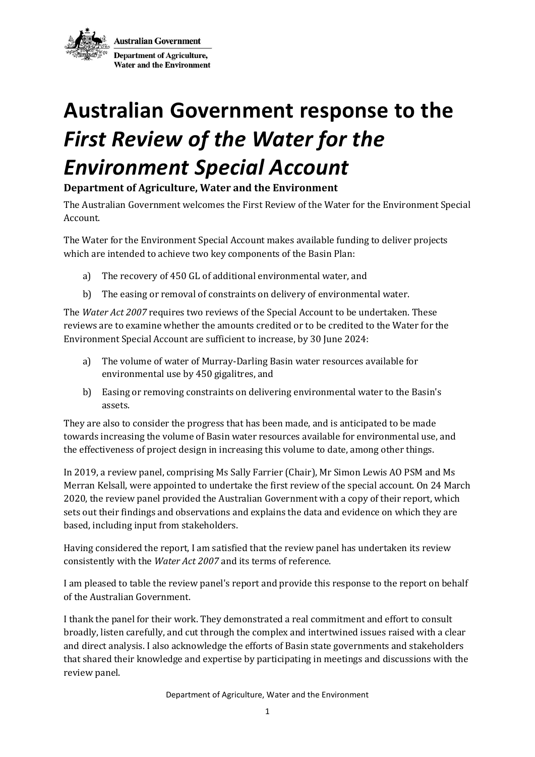**Australian Government** Department of Agriculture, **Water and the Environment** 

## **Australian Government response to the**  *First Review of the Water for the Environment Special Account*

## **Department of Agriculture, Water and the Environment**

The Australian Government welcomes the First Review of the Water for the Environment Special Account.

The Water for the Environment Special Account makes available funding to deliver projects which are intended to achieve two key components of the Basin Plan:

- a) The recovery of 450 GL of additional environmental water, and
- b) The easing or removal of constraints on delivery of environmental water.

The *Water Act 2007* requires two reviews of the Special Account to be undertaken. These reviews are to examine whether the amounts credited or to be credited to the Water for the Environment Special Account are sufficient to increase, by 30 June 2024:

- a) The volume of water of Murray-Darling Basin water resources available for environmental use by 450 gigalitres, and
- b) Easing or removing constraints on delivering environmental water to the Basin's assets.

They are also to consider the progress that has been made, and is anticipated to be made towards increasing the volume of Basin water resources available for environmental use, and the effectiveness of project design in increasing this volume to date, among other things.

In 2019, a review panel, comprising Ms Sally Farrier (Chair), Mr Simon Lewis AO PSM and Ms Merran Kelsall, were appointed to undertake the first review of the special account. On 24 March 2020, the review panel provided the Australian Government with a copy of their report, which sets out their findings and observations and explains the data and evidence on which they are based, including input from stakeholders.

Having considered the report, I am satisfied that the review panel has undertaken its review consistently with the *Water Act 2007* and its terms of reference.

I am pleased to table the review panel's report and provide this response to the report on behalf of the Australian Government.

I thank the panel for their work. They demonstrated a real commitment and effort to consult broadly, listen carefully, and cut through the complex and intertwined issues raised with a clear and direct analysis. I also acknowledge the efforts of Basin state governments and stakeholders that shared their knowledge and expertise by participating in meetings and discussions with the review panel.

Department of Agriculture, Water and the Environment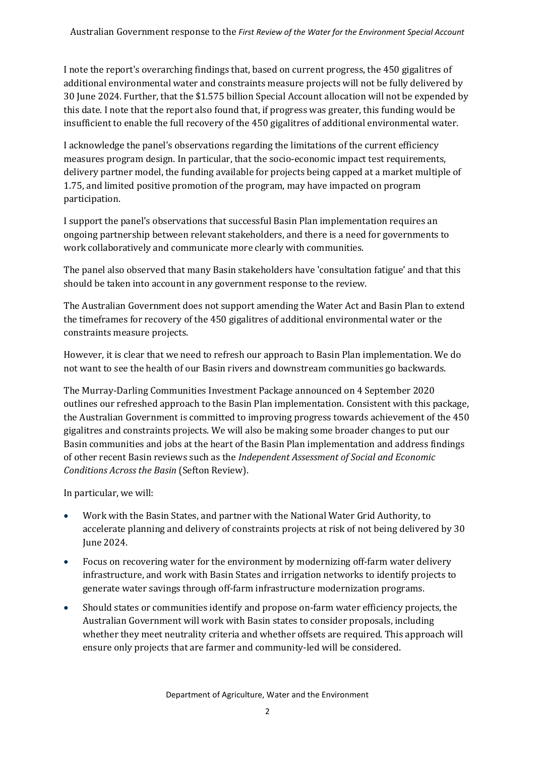I note the report's overarching findings that, based on current progress, the 450 gigalitres of additional environmental water and constraints measure projects will not be fully delivered by 30 June 2024. Further, that the \$1.575 billion Special Account allocation will not be expended by this date. I note that the report also found that, if progress was greater, this funding would be insufficient to enable the full recovery of the 450 gigalitres of additional environmental water.

I acknowledge the panel's observations regarding the limitations of the current efficiency measures program design. In particular, that the socio-economic impact test requirements, delivery partner model, the funding available for projects being capped at a market multiple of 1.75, and limited positive promotion of the program, may have impacted on program participation.

I support the panel's observations that successful Basin Plan implementation requires an ongoing partnership between relevant stakeholders, and there is a need for governments to work collaboratively and communicate more clearly with communities.

The panel also observed that many Basin stakeholders have 'consultation fatigue' and that this should be taken into account in any government response to the review.

The Australian Government does not support amending the Water Act and Basin Plan to extend the timeframes for recovery of the 450 gigalitres of additional environmental water or the constraints measure projects.

However, it is clear that we need to refresh our approach to Basin Plan implementation. We do not want to see the health of our Basin rivers and downstream communities go backwards.

The Murray-Darling Communities Investment Package announced on 4 September 2020 outlines our refreshed approach to the Basin Plan implementation. Consistent with this package, the Australian Government is committed to improving progress towards achievement of the 450 gigalitres and constraints projects. We will also be making some broader changes to put our Basin communities and jobs at the heart of the Basin Plan implementation and address findings of other recent Basin reviews such as the *Independent Assessment of Social and Economic Conditions Across the Basin* (Sefton Review).

In particular, we will:

- Work with the Basin States, and partner with the National Water Grid Authority, to accelerate planning and delivery of constraints projects at risk of not being delivered by 30 June 2024.
- Focus on recovering water for the environment by modernizing off-farm water delivery infrastructure, and work with Basin States and irrigation networks to identify projects to generate water savings through off-farm infrastructure modernization programs.
- Should states or communities identify and propose on-farm water efficiency projects, the Australian Government will work with Basin states to consider proposals, including whether they meet neutrality criteria and whether offsets are required. This approach will ensure only projects that are farmer and community-led will be considered.